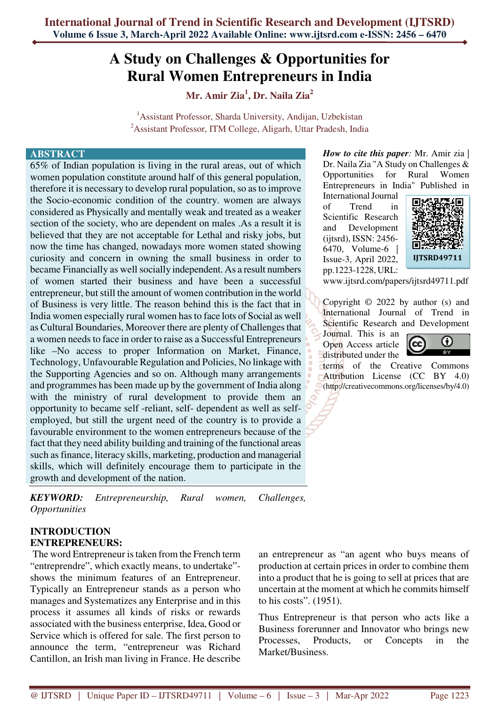# **A Study on Challenges & Opportunities for Rural Women Entrepreneurs in India**

**Mr. Amir Zia<sup>1</sup> , Dr. Naila Zia<sup>2</sup>**

<sup>1</sup> Assistant Professor, Sharda University, Andijan, Uzbekistan <sup>2</sup>Assistant Professor, ITM College, Aligarh, Uttar Pradesh, India

#### **ABSTRACT**

65% of Indian population is living in the rural areas, out of which women population constitute around half of this general population, therefore it is necessary to develop rural population, so as to improve the Socio-economic condition of the country. women are always considered as Physically and mentally weak and treated as a weaker section of the society, who are dependent on males .As a result it is believed that they are not acceptable for Lethal and risky jobs, but now the time has changed, nowadays more women stated showing curiosity and concern in owning the small business in order to became Financially as well socially independent. As a result numbers of women started their business and have been a successful entrepreneur, but still the amount of women contribution in the world of Business is very little. The reason behind this is the fact that in India women especially rural women has to face lots of Social as well as Cultural Boundaries, Moreover there are plenty of Challenges that a women needs to face in order to raise as a Successful Entrepreneurs like –No access to proper Information on Market, Finance, Technology, Unfavourable Regulation and Policies, No linkage with the Supporting Agencies and so on. Although many arrangements and programmes has been made up by the government of India along with the ministry of rural development to provide them an opportunity to became self -reliant, self- dependent as well as selfemployed, but still the urgent need of the country is to provide a favourable environment to the women entrepreneurs because of the fact that they need ability building and training of the functional areas such as finance, literacy skills, marketing, production and managerial skills, which will definitely encourage them to participate in the growth and development of the nation.

*KEYWORD: Entrepreneurship, Rural women, Challenges, Opportunities*

#### **INTRODUCTION ENTREPRENEURS:**

 The word Entrepreneur is taken from the French term "entreprendre", which exactly means, to undertake" shows the minimum features of an Entrepreneur. Typically an Entrepreneur stands as a person who manages and Systematizes any Enterprise and in this process it assumes all kinds of risks or rewards associated with the business enterprise, Idea, Good or Service which is offered for sale. The first person to announce the term, "entrepreneur was Richard Cantillon, an Irish man living in France. He describe

*How to cite this paper:* Mr. Amir zia | Dr. Naila Zia "A Study on Challenges & Opportunities for Rural Women Entrepreneurs in India" Published in

International Journal of Trend in Scientific Research and Development (ijtsrd), ISSN: 2456- 6470, Volume-6 | Issue-3, April 2022, pp.1223-1228, URL:



www.ijtsrd.com/papers/ijtsrd49711.pdf

Copyright © 2022 by author (s) and International Journal of Trend in Scientific Research and Development

Journal. This is an Open Access article distributed under the



terms of the Creative Commons Attribution License (CC BY 4.0) (http://creativecommons.org/licenses/by/4.0)

an entrepreneur as "an agent who buys means of production at certain prices in order to combine them into a product that he is going to sell at prices that are uncertain at the moment at which he commits himself to his costs". (1951).

Thus Entrepreneur is that person who acts like a Business forerunner and Innovator who brings new Processes, Products, or Concepts in the Market/Business.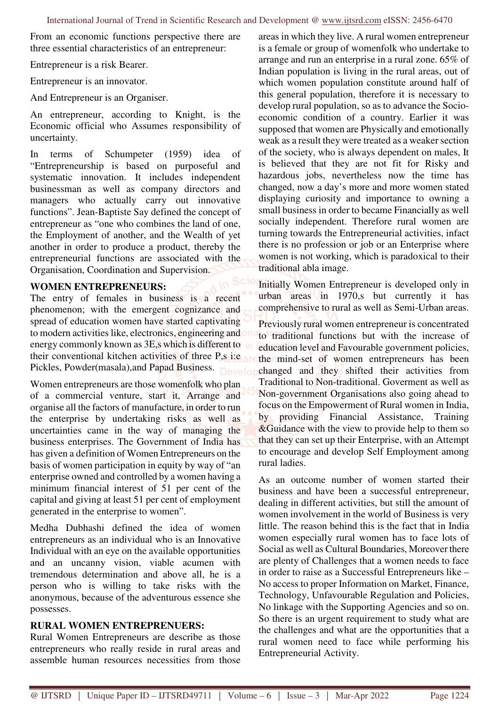From an economic functions perspective there are three essential characteristics of an entrepreneur:

Entrepreneur is a risk Bearer.

Entrepreneur is an innovator.

And Entrepreneur is an Organiser.

An entrepreneur, according to Knight, is the Economic official who Assumes responsibility of uncertainty.

In terms of Schumpeter (1959) idea of "Entrepreneurship is based on purposeful and systematic innovation. It includes independent businessman as well as company directors and managers who actually carry out innovative functions". Jean-Baptiste Say defined the concept of entrepreneur as "one who combines the land of one, the Employment of another, and the Wealth of yet another in order to produce a product, thereby the entrepreneurial functions are associated with the Organisation, Coordination and Supervision.

#### **WOMEN ENTREPRENEURS:**

The entry of females in business is a recent phenomenon; with the emergent cognizance and spread of education women have started captivating to modern activities like, electronics, engineering and on energy commonly known as 3E,s which is different to their conventional kitchen activities of three P,s i:e Pickles, Powder(masala), and Papad Business. Develo

Women entrepreneurs are those womenfolk who plan of a commercial venture, start it, Arrange and organise all the factors of manufacture, in order to run the enterprise by undertaking risks as well as uncertainties came in the way of managing the business enterprises. The Government of India has has given a definition of Women Entrepreneurs on the basis of women participation in equity by way of "an enterprise owned and controlled by a women having a minimum financial interest of 51 per cent of the capital and giving at least 51 per cent of employment generated in the enterprise to women".

Medha Dubhashi defined the idea of women entrepreneurs as an individual who is an Innovative Individual with an eye on the available opportunities and an uncanny vision, viable acumen with tremendous determination and above all, he is a person who is willing to take risks with the anonymous, because of the adventurous essence she possesses.

## **RURAL WOMEN ENTREPRENUERS:**

Rural Women Entrepreneurs are describe as those entrepreneurs who really reside in rural areas and assemble human resources necessities from those

areas in which they live. A rural women entrepreneur is a female or group of womenfolk who undertake to arrange and run an enterprise in a rural zone. 65% of Indian population is living in the rural areas, out of which women population constitute around half of this general population, therefore it is necessary to develop rural population, so as to advance the Socioeconomic condition of a country. Earlier it was supposed that women are Physically and emotionally weak as a result they were treated as a weaker section of the society, who is always dependent on males, It is believed that they are not fit for Risky and hazardous jobs, nevertheless now the time has changed, now a day's more and more women stated displaying curiosity and importance to owning a small business in order to became Financially as well socially independent. Therefore rural women are turning towards the Entrepreneurial activities, infact there is no profession or job or an Enterprise where women is not working, which is paradoxical to their traditional abla image.

Initially Women Entrepreneur is developed only in urban areas in 1970,s but currently it has comprehensive to rural as well as Semi-Urban areas. Previously rural women entrepreneur is concentrated to traditional functions but with the increase of education level and Favourable government policies, the mind-set of women entrepreneurs has been changed and they shifted their activities from Traditional to Non-traditional. Goverment as well as Non-government Organisations also going ahead to focus on the Empowerment of Rural women in India, by providing Financial Assistance, Training &Guidance with the view to provide help to them so that they can set up their Enterprise, with an Attempt to encourage and develop Self Employment among rural ladies.

As an outcome number of women started their business and have been a successful entrepreneur, dealing in different activities, but still the amount of women involvement in the world of Business is very little. The reason behind this is the fact that in India women especially rural women has to face lots of Social as well as Cultural Boundaries, Moreover there are plenty of Challenges that a women needs to face in order to raise as a Successful Entrepreneurs like – No access to proper Information on Market, Finance, Technology, Unfavourable Regulation and Policies, No linkage with the Supporting Agencies and so on. So there is an urgent requirement to study what are the challenges and what are the opportunities that a rural women need to face while performing his Entrepreneurial Activity.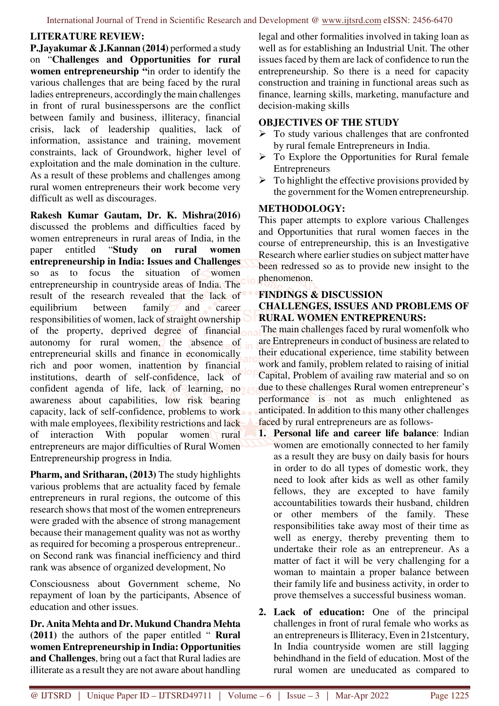## **LITERATURE REVIEW:**

**P.Jayakumar & J.Kannan (2014)** performed a study on "**Challenges and Opportunities for rural women entrepreneurship "**in order to identify the various challenges that are being faced by the rural ladies entrepreneurs, accordingly the main challenges in front of rural businesspersons are the conflict between family and business, illiteracy, financial crisis, lack of leadership qualities, lack of information, assistance and training, movement constraints, lack of Groundwork, higher level of exploitation and the male domination in the culture. As a result of these problems and challenges among rural women entrepreneurs their work become very difficult as well as discourages.

**Rakesh Kumar Gautam, Dr. K. Mishra(2016)**  discussed the problems and difficulties faced by women entrepreneurs in rural areas of India, in the paper entitled "**Study on rural women entrepreneurship in India: Issues and Challenges** so as to focus the situation of women entrepreneurship in countryside areas of India. The result of the research revealed that the lack of equilibrium between family and career responsibilities of women, lack of straight ownership of the property, deprived degree of financial autonomy for rural women, the absence of entrepreneurial skills and finance in economically rich and poor women, inattention by financial institutions, dearth of self-confidence, lack of confident agenda of life, lack of learning, no awareness about capabilities, low risk bearing capacity, lack of self-confidence, problems to work with male employees, flexibility restrictions and lack of interaction With popular women rural entrepreneurs are major difficulties of Rural Women Entrepreneurship progress in India.

**Pharm, and Sritharan, (2013)** The study highlights various problems that are actuality faced by female entrepreneurs in rural regions, the outcome of this research shows that most of the women entrepreneurs were graded with the absence of strong management because their management quality was not as worthy as required for becoming a prosperous entrepreneur.. on Second rank was financial inefficiency and third rank was absence of organized development, No

Consciousness about Government scheme, No repayment of loan by the participants, Absence of education and other issues.

**Dr. Anita Mehta and Dr. Mukund Chandra Mehta (2011)** the authors of the paper entitled " **Rural women Entrepreneurship in India: Opportunities and Challenges**, bring out a fact that Rural ladies are illiterate as a result they are not aware about handling

legal and other formalities involved in taking loan as well as for establishing an Industrial Unit. The other issues faced by them are lack of confidence to run the entrepreneurship. So there is a need for capacity construction and training in functional areas such as finance, learning skills, marketing, manufacture and decision-making skills

## **OBJECTIVES OF THE STUDY**

- $\triangleright$  To study various challenges that are confronted by rural female Entrepreneurs in India.
- $\triangleright$  To Explore the Opportunities for Rural female Entrepreneurs
- $\triangleright$  To highlight the effective provisions provided by the government for the Women entrepreneurship.

## **METHODOLOGY:**

This paper attempts to explore various Challenges and Opportunities that rural women faeces in the course of entrepreneurship, this is an Investigative Research where earlier studies on subject matter have been redressed so as to provide new insight to the phenomenon.

## **FINDINGS & DISCUSSION**

#### **CHALLENGES, ISSUES AND PROBLEMS OF RURAL WOMEN ENTREPRENURS:**

 The main challenges faced by rural womenfolk who are Entrepreneurs in conduct of business are related to their educational experience, time stability between work and family, problem related to raising of initial Capital, Problem of availing raw material and so on due to these challenges Rural women entrepreneur's performance is not as much enlightened as anticipated. In addition to this many other challenges faced by rural entrepreneurs are as follows-

- **1. Personal life and career life balance**: Indian women are emotionally connected to her family as a result they are busy on daily basis for hours in order to do all types of domestic work, they need to look after kids as well as other family fellows, they are excepted to have family accountabilities towards their husband, children or other members of the family. These responsibilities take away most of their time as well as energy, thereby preventing them to undertake their role as an entrepreneur. As a matter of fact it will be very challenging for a woman to maintain a proper balance between their family life and business activity, in order to prove themselves a successful business woman.
- **2. Lack of education:** One of the principal challenges in front of rural female who works as an entrepreneurs is Illiteracy, Even in 21stcentury, In India countryside women are still lagging behindhand in the field of education. Most of the rural women are uneducated as compared to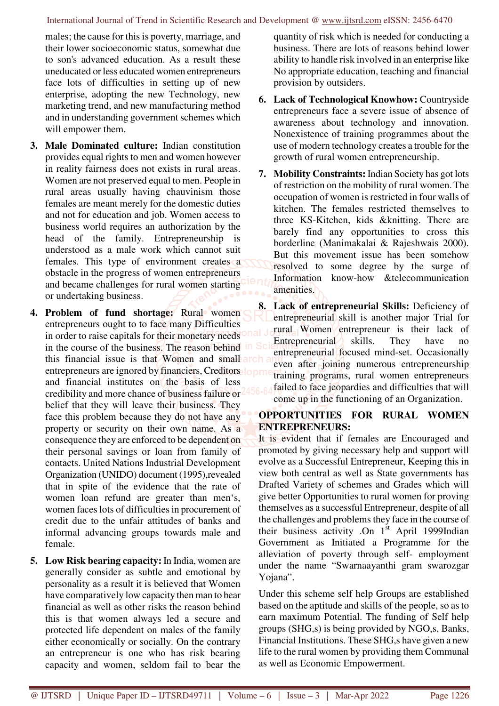males; the cause for this is poverty, marriage, and their lower socioeconomic status, somewhat due to son's advanced education. As a result these uneducated or less educated women entrepreneurs face lots of difficulties in setting up of new enterprise, adopting the new Technology, new marketing trend, and new manufacturing method and in understanding government schemes which will empower them.

- **3. Male Dominated culture:** Indian constitution provides equal rights to men and women however in reality fairness does not exists in rural areas. Women are not preserved equal to men. People in rural areas usually having chauvinism those females are meant merely for the domestic duties and not for education and job. Women access to business world requires an authorization by the head of the family. Entrepreneurship is understood as a male work which cannot suit females. This type of environment creates a obstacle in the progress of women entrepreneurs and became challenges for rural women starting or undertaking business.
- **4. Problem of fund shortage:** Rural women entrepreneurs ought to to face many Difficulties in order to raise capitals for their monetary needs in the course of the business. The reason behind this financial issue is that Women and small arch entrepreneurs are ignored by financiers, Creditors lopm and financial institutes on the basis of less credibility and more chance of business failure or belief that they will leave their business. They face this problem because they do not have any property or security on their own name. As a consequence they are enforced to be dependent on their personal savings or loan from family of contacts. United Nations Industrial Development Organization (UNIDO) document (1995),revealed that in spite of the evidence that the rate of women loan refund are greater than men's, women faces lots of difficulties in procurement of credit due to the unfair attitudes of banks and informal advancing groups towards male and female.
- **5. Low Risk bearing capacity:** In India, women are generally consider as subtle and emotional by personality as a result it is believed that Women have comparatively low capacity then man to bear financial as well as other risks the reason behind this is that women always led a secure and protected life dependent on males of the family either economically or socially. On the contrary an entrepreneur is one who has risk bearing capacity and women, seldom fail to bear the

quantity of risk which is needed for conducting a business. There are lots of reasons behind lower ability to handle risk involved in an enterprise like No appropriate education, teaching and financial provision by outsiders.

- **6. Lack of Technological Knowhow:** Countryside entrepreneurs face a severe issue of absence of awareness about technology and innovation. Nonexistence of training programmes about the use of modern technology creates a trouble for the growth of rural women entrepreneurship.
- **7. Mobility Constraints:** Indian Society has got lots of restriction on the mobility of rural women. The occupation of women is restricted in four walls of kitchen. The females restricted themselves to three KS-Kitchen, kids &knitting. There are barely find any opportunities to cross this borderline (Manimakalai & Rajeshwais 2000). But this movement issue has been somehow resolved to some degree by the surge of Information know-how &telecommunication amenities.
- **8. Lack of entrepreneurial Skills:** Deficiency of entrepreneurial skill is another major Trial for rural Women entrepreneur is their lack of Entrepreneurial skills. They have no entrepreneurial focused mind-set. Occasionally even after joining numerous entrepreneurship training programs, rural women entrepreneurs failed to face jeopardies and difficulties that will come up in the functioning of an Organization.

## **OPPORTUNITIES FOR RURAL WOMEN ENTREPRENEURS:**

It is evident that if females are Encouraged and promoted by giving necessary help and support will evolve as a Successful Entrepreneur, Keeping this in view both central as well as State governments has Drafted Variety of schemes and Grades which will give better Opportunities to rural women for proving themselves as a successful Entrepreneur, despite of all the challenges and problems they face in the course of their business activity .On  $1<sup>st</sup>$  April 1999Indian Government as Initiated a Programme for the alleviation of poverty through self- employment under the name "Swarnaayanthi gram swarozgar Yojana".

Under this scheme self help Groups are established based on the aptitude and skills of the people, so as to earn maximum Potential. The funding of Self help groups (SHG,s) is being provided by NGO,s, Banks, Financial Institutions. These SHG,s have given a new life to the rural women by providing them Communal as well as Economic Empowerment.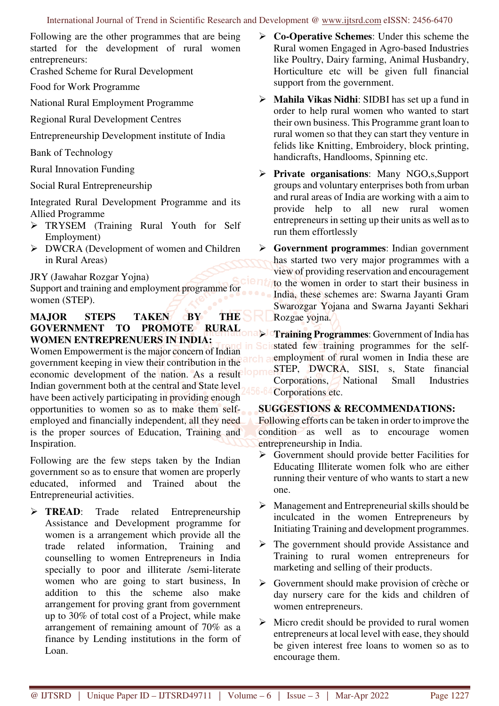Following are the other programmes that are being started for the development of rural women entrepreneurs:

Crashed Scheme for Rural Development

Food for Work Programme

National Rural Employment Programme

Regional Rural Development Centres

Entrepreneurship Development institute of India

Bank of Technology

Rural Innovation Funding

Social Rural Entrepreneurship

Integrated Rural Development Programme and its Allied Programme

- TRYSEM (Training Rural Youth for Self Employment)
- DWCRA (Development of women and Children in Rural Areas)

JRY (Jawahar Rozgar Yojna)

Support and training and employment programme for women (STEP).

## **MAJOR STEPS TAKEN BY THE GOVERNMENT TO PROMOTE RURAL WOMEN ENTREPRENUERS IN INDIA:**

Women Empowerment is the major concern of Indian government keeping in view their contribution in the economic development of the nation. As a result Indian government both at the central and State level have been actively participating in providing enough opportunities to women so as to make them selfemployed and financially independent, all they need is the proper sources of Education, Training and Inspiration.

Following are the few steps taken by the Indian government so as to ensure that women are properly educated, informed and Trained about the Entrepreneurial activities.

**FREAD:** Trade related Entrepreneurship Assistance and Development programme for women is a arrangement which provide all the trade related information, Training and counselling to women Entrepreneurs in India specially to poor and illiterate /semi-literate women who are going to start business, In addition to this the scheme also make arrangement for proving grant from government up to 30% of total cost of a Project, while make arrangement of remaining amount of 70% as a finance by Lending institutions in the form of Loan.

- **Co-Operative Schemes**: Under this scheme the Rural women Engaged in Agro-based Industries like Poultry, Dairy farming, Animal Husbandry, Horticulture etc will be given full financial support from the government.
- **Mahila Vikas Nidhi**: SIDBI has set up a fund in order to help rural women who wanted to start their own business. This Programme grant loan to rural women so that they can start they venture in felids like Knitting, Embroidery, block printing, handicrafts, Handlooms, Spinning etc.
- **Private organisations**: Many NGO,s,Support groups and voluntary enterprises both from urban and rural areas of India are working with a aim to provide help to all new rural women entrepreneurs in setting up their units as well as to run them effortlessly
- **Government programmes**: Indian government has started two very major programmes with a view of providing reservation and encouragement to the women in order to start their business in India, these schemes are: Swarna Jayanti Gram Swarozgar Yojana and Swarna Jayanti Sekhari Rozgae yojna.

 **Training Programmes**: Government of India has stated few training programmes for the selfemployment of rural women in India these are STEP, DWCRA, SISI, s, State financial Corporations, National Small Industries Corporations etc.

## **SUGGESTIONS & RECOMMENDATIONS:**

Following efforts can be taken in order to improve the condition as well as to encourage women entrepreneurship in India.

- $\triangleright$  Government should provide better Facilities for Educating Illiterate women folk who are either running their venture of who wants to start a new one.
- $\triangleright$  Management and Entrepreneurial skills should be inculcated in the women Entrepreneurs by Initiating Training and development programmes.
- $\triangleright$  The government should provide Assistance and Training to rural women entrepreneurs for marketing and selling of their products.
- $\triangleright$  Government should make provision of crèche or day nursery care for the kids and children of women entrepreneurs.
- $\triangleright$  Micro credit should be provided to rural women entrepreneurs at local level with ease, they should be given interest free loans to women so as to encourage them.